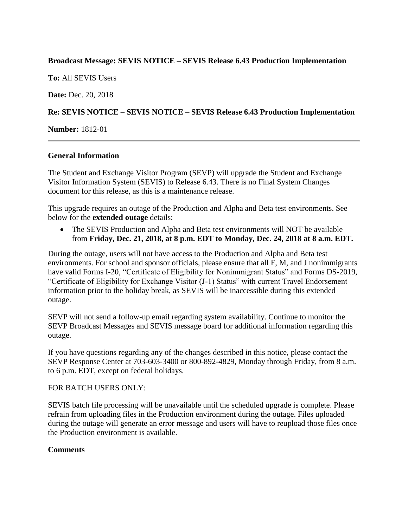### **Broadcast Message: SEVIS NOTICE – SEVIS Release 6.43 Production Implementation**

**To:** All SEVIS Users

**Date:** Dec. 20, 2018

# **Re: SEVIS NOTICE – SEVIS NOTICE – SEVIS Release 6.43 Production Implementation**

**Number:** 1812-01

#### **General Information**

The Student and Exchange Visitor Program (SEVP) will upgrade the Student and Exchange Visitor Information System (SEVIS) to Release 6.43. There is no Final System Changes document for this release, as this is a maintenance release.

This upgrade requires an outage of the Production and Alpha and Beta test environments. See below for the **extended outage** details:

• The SEVIS Production and Alpha and Beta test environments will NOT be available from **Friday, Dec. 21, 2018, at 8 p.m. EDT to Monday, Dec. 24, 2018 at 8 a.m. EDT.**

During the outage, users will not have access to the Production and Alpha and Beta test environments. For school and sponsor officials, please ensure that all F, M, and J nonimmigrants have valid Forms I-20, "Certificate of Eligibility for Nonimmigrant Status" and Forms DS-2019, "Certificate of Eligibility for Exchange Visitor (J-1) Status" with current Travel Endorsement information prior to the holiday break, as SEVIS will be inaccessible during this extended outage.

SEVP will not send a follow-up email regarding system availability. Continue to monitor the SEVP Broadcast Messages and SEVIS message board for additional information regarding this outage.

If you have questions regarding any of the changes described in this notice, please contact the SEVP Response Center at 703-603-3400 or 800-892-4829, Monday through Friday, from 8 a.m. to 6 p.m. EDT, except on federal holidays.

#### FOR BATCH USERS ONLY:

SEVIS batch file processing will be unavailable until the scheduled upgrade is complete. Please refrain from uploading files in the Production environment during the outage. Files uploaded during the outage will generate an error message and users will have to reupload those files once the Production environment is available.

# **Comments**